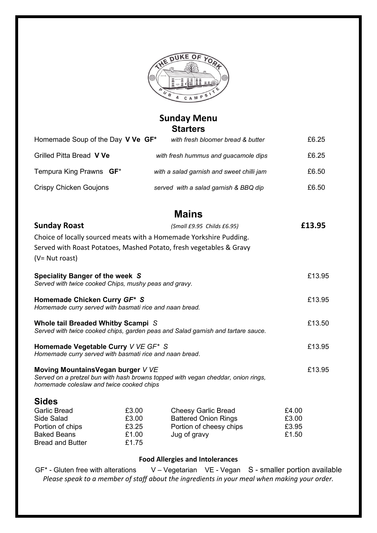

# **Sunday Menu Starters**

| Homemade Soup of the Day V Ve GF* | with fresh bloomer bread & butter         | £6.25 |
|-----------------------------------|-------------------------------------------|-------|
| Grilled Pitta Bread V Ve          | with fresh hummus and guacamole dips      | £6.25 |
| Tempura King Prawns <b>GF</b> *   | with a salad garnish and sweet chilli jam | £6.50 |
| Crispy Chicken Goujons            | served with a salad garnish & BBQ dip     | £6.50 |

| <b>Sunday Roast</b>                                                                                                                                               |       | (Small £9.95 Childs £6.95)                                          |       | £13.95 |
|-------------------------------------------------------------------------------------------------------------------------------------------------------------------|-------|---------------------------------------------------------------------|-------|--------|
|                                                                                                                                                                   |       | Choice of locally sourced meats with a Homemade Yorkshire Pudding.  |       |        |
|                                                                                                                                                                   |       | Served with Roast Potatoes, Mashed Potato, fresh vegetables & Gravy |       |        |
| (V= Nut roast)                                                                                                                                                    |       |                                                                     |       |        |
| Speciality Banger of the week S<br>Served with twice cooked Chips, mushy peas and gravy.                                                                          |       |                                                                     |       | £13.95 |
| Homemade Chicken Curry GF* S<br>Homemade curry served with basmati rice and naan bread.                                                                           |       |                                                                     |       | £13.95 |
| Whole tail Breaded Whitby Scampi S<br>Served with twice cooked chips, garden peas and Salad garnish and tartare sauce.                                            |       |                                                                     |       | £13.50 |
| Homemade Vegetable Curry V VE GF* S<br>Homemade curry served with basmati rice and naan bread.                                                                    |       |                                                                     |       | £13.95 |
| Moving MountainsVegan burger V VE<br>Served on a pretzel bun with hash browns topped with vegan cheddar, onion rings,<br>homemade coleslaw and twice cooked chips |       |                                                                     |       | £13.95 |
| <b>Sides</b>                                                                                                                                                      |       |                                                                     |       |        |
| <b>Garlic Bread</b>                                                                                                                                               | £3.00 | <b>Cheesy Garlic Bread</b>                                          | £4.00 |        |
| Side Salad                                                                                                                                                        | £3.00 | <b>Battered Onion Rings</b>                                         | £3.00 |        |
| Portion of chips                                                                                                                                                  | £3.25 | Portion of cheesy chips                                             | £3.95 |        |
| <b>Baked Beans</b>                                                                                                                                                | £1.00 | Jug of gravy                                                        | £1.50 |        |
| <b>Bread and Butter</b>                                                                                                                                           | £1.75 |                                                                     |       |        |

#### **Food Allergies and Intolerances**

GF\* - Gluten free with alterations V – Vegetarian VE - Vegan S - smaller portion available *Please speak to a member of staff about the ingredients in your meal when making your order.*